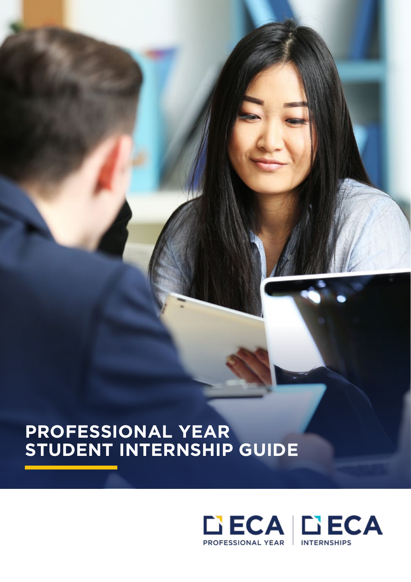# **PROFESSIONAL YEAR STUDENT INTERNSHIP GUIDE**

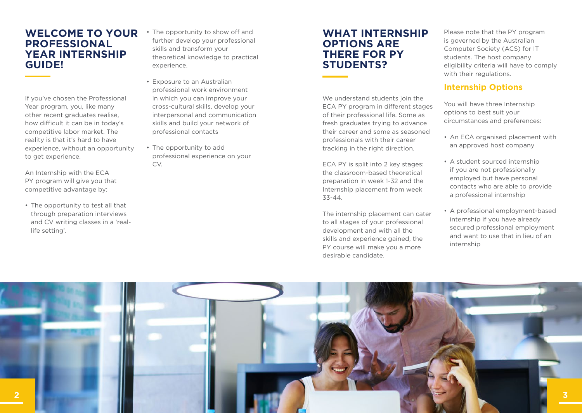### **WELCOME TO YOUR PROFESSIONAL YEAR INTERNSHIP GUIDE!**

If you've chosen the Professional Year program, you, like many other recent graduates realise, how difficult it can be in today's competitive labor market. The reality is that it's hard to have experience, without an opportunity to get experience.

An Internship with the ECA PY program will give you that competitive advantage by:

• The opportunity to test all that through preparation interviews and CV writing classes in a 'reallife setting'.

- The opportunity to show off and further develop your professional skills and transform your theoretical knowledge to practical experience.
- Exposure to an Australian professional work environment in which you can improve your cross-cultural skills, develop your interpersonal and communication skills and build your network of professional contacts
- The opportunity to add professional experience on your CV.

## **WHAT INTERNSHIP OPTIONS ARE THERE FOR PY STUDENTS?**

We understand students join the ECA PY program in different stages of their professional life. Some as fresh graduates trying to advance their career and some as seasoned professionals with their career tracking in the right direction.

ECA PY is split into 2 key stages: the classroom-based theoretical preparation in week 1-32 and the Internship placement from week 33-44.

The internship placement can cater to all stages of your professional development and with all the skills and experience gained, the PY course will make you a more desirable candidate.

Please note that the PY program is governed by the Australian Computer Society (ACS) for IT students. The host company eligibility criteria will have to comply with their regulations.

### **Internship Options**

You will have three Internship options to best suit your circumstances and preferences:

- An ECA organised placement with an approved host company
- A student sourced internship if you are not professionally employed but have personal contacts who are able to provide a professional internship
- A professional employment-based internship if you have already secured professional employment and want to use that in lieu of an internship

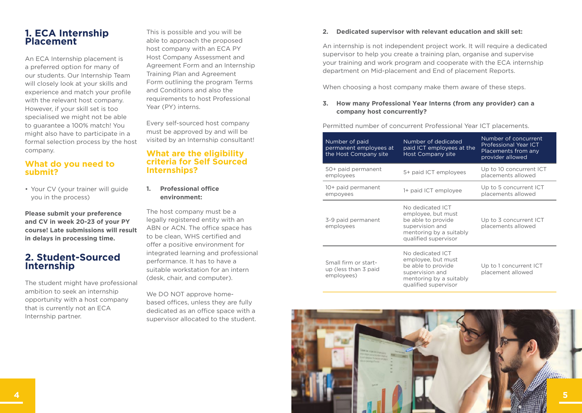### **1. ECA Internship Placement**

An ECA Internship placement is a preferred option for many of our students. Our Internship Team will closely look at your skills and experience and match your profile with the relevant host company. However, if your skill set is too specialised we might not be able to guarantee a 100% match! You might also have to participate in a formal selection process by the host company.

#### **What do you need to submit?**

• Your CV (your trainer will guide you in the process)

**Please submit your preference and CV in week 20-23 of your PY course! Late submissions will result in delays in processing time.** 

### **2. Student-Sourced Internship**

The student might have professional ambition to seek an internship opportunity with a host company that is currently not an ECA Internship partner.

This is possible and you will be able to approach the proposed host company with an ECA PY Host Company Assessment and Agreement Form and an Internship Training Plan and Agreement Form outlining the program Terms and Conditions and also the requirements to host Professional Year (PY) interns.

Every self-sourced host company must be approved by and will be visited by an Internship consultant!

#### **What are the eligibility criteria for Self Sourced Internships?**

**1. Professional office environment:** 

The host company must be a legally registered entity with an ABN or ACN. The office space has to be clean, WHS certified and offer a positive environment for integrated learning and professional performance. It has to have a suitable workstation for an intern (desk, chair, and computer).

We DO NOT approve homebased offices, unless they are fully dedicated as an office space with a supervisor allocated to the student.

#### **2. Dedicated supervisor with relevant education and skill set:**

An internship is not independent project work. It will require a dedicated supervisor to help you create a training plan, organise and supervise your training and work program and cooperate with the ECA internship department on Mid-placement and End of placement Reports.

When choosing a host company make them aware of these steps.

#### **3. How many Professional Year Interns (from any provider) can a company host concurrently?**

Permitted number of concurrent Professional Year ICT placements.

| Number of paid<br>permanent employees at<br>the Host Company site | Number of dedicated<br>paid ICT employees at the<br>Host Company site                                                              | Number of concurrent<br><b>Professional Year ICT</b><br>Placements from any<br>provider allowed |
|-------------------------------------------------------------------|------------------------------------------------------------------------------------------------------------------------------------|-------------------------------------------------------------------------------------------------|
| 50+ paid permanent<br>employees                                   | 5+ paid ICT employees                                                                                                              | Up to 10 concurrent ICT<br>placements allowed                                                   |
| 10+ paid permanent<br>empoyees                                    | 1+ paid ICT employee                                                                                                               | Up to 5 concurrent ICT<br>placements allowed                                                    |
| 3-9 paid permanent<br>employees                                   | No dedicated ICT<br>employee, but must<br>be able to provide<br>supervision and<br>mentoring by a suitably<br>qualified supervisor | Up to 3 concurrent ICT<br>placements allowed                                                    |
| Small firm or start-<br>up (less than 3 paid<br>employees)        | No dedicated ICT<br>employee, but must<br>be able to provide<br>supervision and<br>mentoring by a suitably<br>qualified supervisor | Up to 1 concurrent ICT<br>placement allowed                                                     |

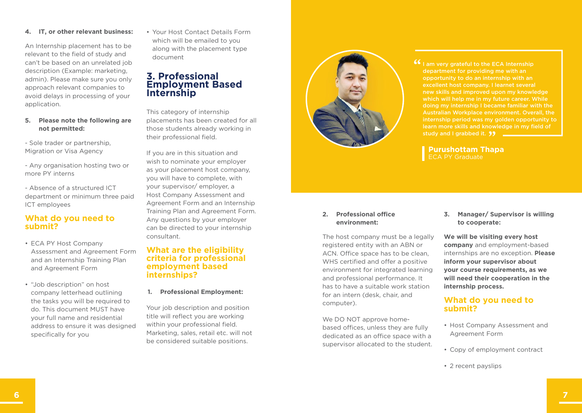computer).

We DO NOT approve homebased offices, unless they are fully dedicated as an office space with a supervisor allocated to the student.

The host company must be a legally registered entity with an ABN or ACN. Office space has to be clean, WHS certified and offer a positive environment for integrated learning and professional performance. It has to have a suitable work station for an intern (desk, chair, and

### **We will be visiting every host company** and employment-based

**3. Manager/ Supervisor is willing** 

**to cooperate:**

internships are no exception. **Please inform your supervisor about your course requirements, as we will need their cooperation in the internship process.** 

#### **What do you need to submit?**

- Host Company Assessment and Agreement Form
- Copy of employment contract
- 2 recent payslips

#### new skills and improved upon my knowledge which will help me in my future career. While doing my internship I became familiar with the Australian Workplace environment. Overall, the internship period was my golden opportunity to learn more skills and knowledge in my field of study and I grabbed it. **99**

**If** I am very grateful to the ECA Internship department for providing me with an opportunity to do an internship with an excellent host company. I learnet several

> **Purushottam Thapa** ECA PY Graduate

#### **4. IT, or other relevant business:**

An Internship placement has to be relevant to the field of study and can't be based on an unrelated job description (Example: marketing, admin). Please make sure you only approach relevant companies to avoid delays in processing of your application.

#### **5. Please note the following are not permitted:**

- Sole trader or partnership, Migration or Visa Agency

- Any organisation hosting two or more PY interns

- Absence of a structured ICT department or minimum three paid ICT employees

#### **What do you need to submit?**

- ECA PY Host Company Assessment and Agreement Form and an Internship Training Plan and Agreement Form
- "Job description" on host company letterhead outlining the tasks you will be required to do. This document MUST have your full name and residential address to ensure it was designed specifically for you

• Your Host Contact Details Form which will be emailed to you along with the placement type document

### **3. Professional Employment Based Internship**

This category of internship placements has been created for all those students already working in their professional field.

If you are in this situation and wish to nominate your employer as your placement host company, you will have to complete, with your supervisor/ employer, a Host Company Assessment and Agreement Form and an Internship Training Plan and Agreement Form. Any questions by your employer can be directed to your internship consultant.

#### **What are the eligibility criteria for professional employment based internships?**

#### **1. Professional Employment:**

Your job description and position title will reflect you are working within your professional field. Marketing, sales, retail etc. will not be considered suitable positions.



**2. Professional office environment:**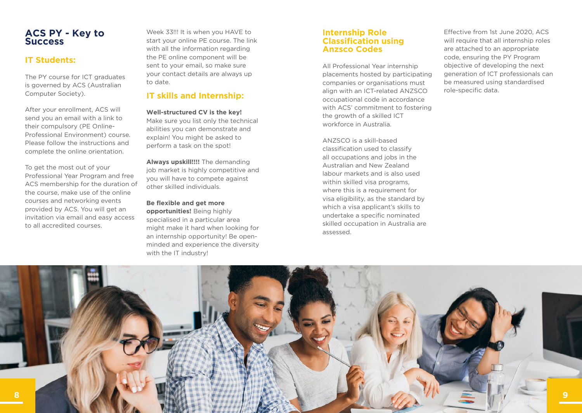### **ACS PY - Key to Success**

### **IT Students:**

The PY course for ICT graduates is governed by ACS (Australian Computer Society).

After your enrollment, ACS will send you an email with a link to their compulsory (PE Online-Professional Environment) course. Please follow the instructions and complete the online orientation.

To get the most out of your Professional Year Program and free ACS membership for the duration of the course, make use of the online courses and networking events provided by ACS. You will get an invitation via email and easy access to all accredited courses.

Week 33!!! It is when you HAVE to start your online PE course. The link with all the information regarding the PE online component will be sent to your email, so make sure your contact details are always up to date.

### **IT skills and Internship:**

**Well-structured CV is the key!** Make sure you list only the technical abilities you can demonstrate and explain! You might be asked to perform a task on the spot!

**Always upskill!!!!** The demanding job market is highly competitive and you will have to compete against other skilled individuals.

**Be flexible and get more opportunities!** Being highly specialised in a particular area might make it hard when looking for an internship opportunity! Be openminded and experience the diversity with the IT industry!

#### **Internship Role Classification using Anzsco Codes**

All Professional Year internship placements hosted by participating companies or organisations must align with an ICT-related ANZSCO occupational code in accordance with ACS' commitment to fostering the growth of a skilled ICT workforce in Australia.

ANZSCO is a skill-based classification used to classify all occupations and jobs in the Australian and New Zealand labour markets and is also used within skilled visa programs. where this is a requirement for visa eligibility, as the standard by which a visa applicant's skills to undertake a specific nominated skilled occupation in Australia are assessed.

Effective from 1st June 2020, ACS will require that all internship roles are attached to an appropriate code, ensuring the PY Program objective of developing the next generation of ICT professionals can be measured using standardised role-specific data.

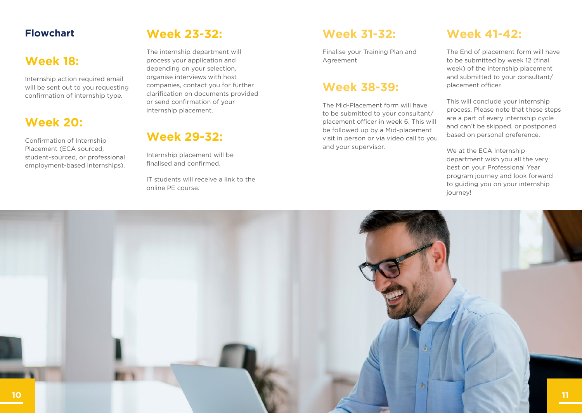# **Flowchart**

# **Week 18:**

Internship action required email will be sent out to you requesting confirmation of internship type.

# **Week 20:**

Confirmation of Internship Placement (ECA sourced, student-sourced, or professional employment-based internships).

# **Week 23-32:**

The internship department will process your application and depending on your selection, organise interviews with host companies, contact you for further clarification on documents provided or send confirmation of your internship placement.

# **Week 29-32:**

Internship placement will be finalised and confirmed.

IT students will receive a link to the online PE course.

# **Week 31-32:**

Finalise your Training Plan and Agreement

# **Week 38-39:**

The Mid-Placement form will have to be submitted to your consultant/ placement officer in week 6. This will be followed up by a Mid-placement visit in person or via video call to you and your supervisor.

# **Week 41-42:**

The End of placement form will have to be submitted by week 12 (final week) of the internship placement and submitted to your consultant/ placement officer.

This will conclude your internship process. Please note that these steps are a part of every internship cycle and can't be skipped, or postponed based on personal preference.

We at the ECA Internship department wish you all the very best on your Professional Year program journey and look forward to guiding you on your internship journey!